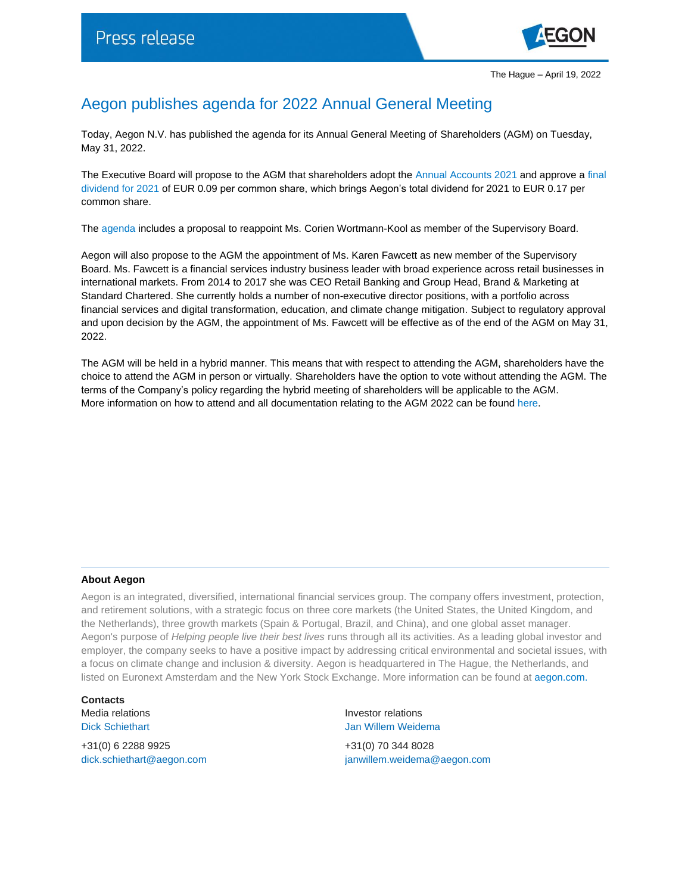

## Aegon publishes agenda for 2022 Annual General Meeting

Today, Aegon N.V. has published the agenda for its Annual General Meeting of Shareholders (AGM) on Tuesday, May 31, 2022.

The Executive Board will propose to the AGM that shareholders adopt the [Annual Accounts 2021](https://www.aegon.com/agm-2022-integrated-annual-report-2021/) and approve a [final](https://www.aegon.com/dividends/)  [dividend for 2021](https://www.aegon.com/dividends/) of EUR 0.09 per common share, which brings Aegon's total dividend for 2021 to EUR 0.17 per common share.

The [agenda](https://www.aegon.com/agm-2022-agenda/) includes a proposal to reappoint Ms. Corien Wortmann-Kool as member of the Supervisory Board.

Aegon will also propose to the AGM the appointment of Ms. Karen Fawcett as new member of the Supervisory Board. Ms. Fawcett is a financial services industry business leader with broad experience across retail businesses in international markets. From 2014 to 2017 she was CEO Retail Banking and Group Head, Brand & Marketing at Standard Chartered. She currently holds a number of non-executive director positions, with a portfolio across financial services and digital transformation, education, and climate change mitigation. Subject to regulatory approval and upon decision by the AGM, the appointment of Ms. Fawcett will be effective as of the end of the AGM on May 31, 2022.

The AGM will be held in a hybrid manner. This means that with respect to attending the AGM, shareholders have the choice to attend the AGM in person or virtually. Shareholders have the option to vote without attending the AGM. The terms of the Company's policy regarding the hybrid meeting of shareholders will be applicable to the AGM. More information on how to attend and all documentation relating to the AGM 2022 can be foun[d here.](https://www.aegon.com/agm/)

## **About Aegon**

Aegon is an integrated, diversified, international financial services group. The company offers investment, protection, and retirement solutions, with a strategic focus on three core markets (the United States, the United Kingdom, and the Netherlands), three growth markets (Spain & Portugal, Brazil, and China), and one global asset manager. Aegon's purpose of *Helping people live their best lives* runs through all its activities. As a leading global investor and employer, the company seeks to have a positive impact by addressing critical environmental and societal issues, with a focus on climate change and inclusion & diversity. Aegon is headquartered in The Hague, the Netherlands, and listed on Euronext Amsterdam and the New York Stock Exchange. More information can be found at [aegon.com.](http://www.aegon.com/about/)

**Contacts** Media relations **Investor relations** 

+31(0) 6 2288 9925 +31(0) 70 344 8028

Dick Schiethart **Disk Schiethart** Jan Willem Weidema

[dick.schiethart@aegon.com](mailto:dick.schiethart@aegon.com) [janwillem.weidema@aegon.com](mailto:janwillem.weidema@aegon.com)